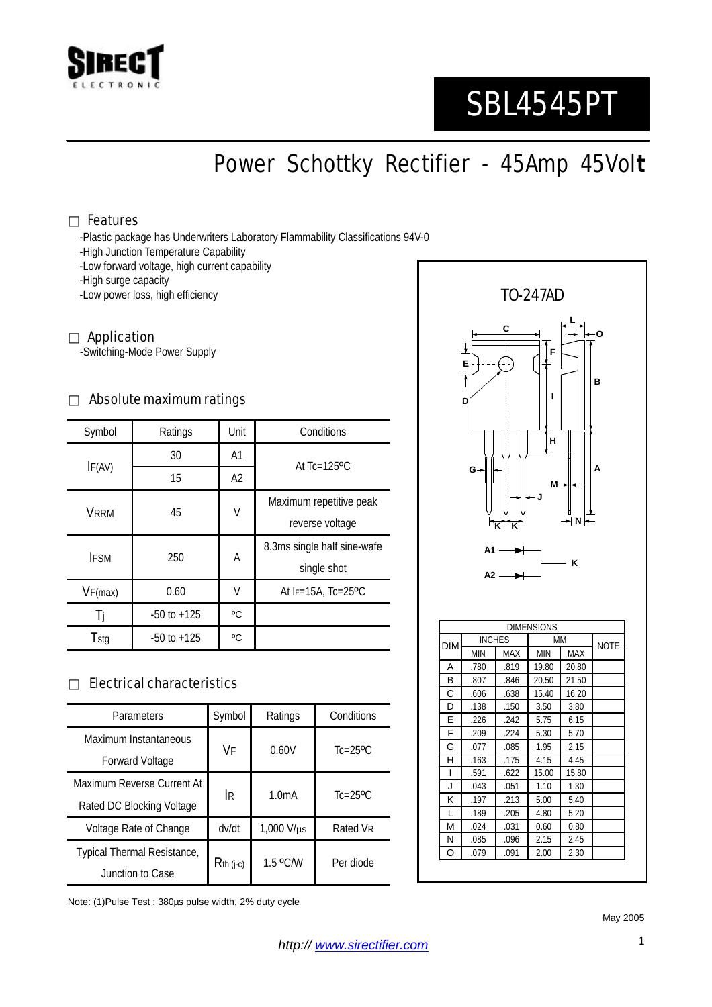

# SBL4545PT

Power Schottky Rectifier - 45Amp 45Vol**t**

#### Features

-Plastic package has Underwriters Laboratory Flammability Classifications 94V-0

- -High Junction Temperature Capability
- -Low forward voltage, high current capability
- -High surge capacity
- -Low power loss, high efficiency

#### Application

-Switching-Mode Power Supply

#### Absolute maximum ratings

| Symbol      | Ratings         | Unit           | Conditions                   |  |
|-------------|-----------------|----------------|------------------------------|--|
| IF(AV)      | 30              | A1             | At $Tc=125$ <sup>o</sup> $C$ |  |
|             | 15              | A <sub>2</sub> |                              |  |
| VRRM        | 45              | V              | Maximum repetitive peak      |  |
|             |                 |                | reverse voltage              |  |
| <b>IFSM</b> | 250             | A              | 8.3ms single half sine-wafe  |  |
|             |                 |                | single shot                  |  |
| VF(max)     | 0.60            | V              | At IF=15A, Tc=25°C           |  |
| Ti          | $-50$ to $+125$ | °C             |                              |  |
| Tstg        | $-50$ to $+125$ | °C             |                              |  |

### Electrical characteristics

| Parameters                  | Symbol      | Ratings            | Conditions               |
|-----------------------------|-------------|--------------------|--------------------------|
| Maximum Instantaneous       | VF          | 0.60V              | $Tc=25$ <sup>o</sup> $C$ |
| <b>Forward Voltage</b>      |             |                    |                          |
| Maximum Reverse Current At  | IR.         | 1.0 <sub>m</sub> A | $Tc=25$ <sup>o</sup> $C$ |
| Rated DC Blocking Voltage   |             |                    |                          |
| Voltage Rate of Change      | dv/dt       | $1,000$ V/ $\mu$ s | Rated VR                 |
| Typical Thermal Resistance, | $Rth$ (j-c) | $1.5$ °C/W         | Per diode                |
| Junction to Case            |             |                    |                          |

Note: (1)Pulse Test : 380µs pulse width, 2% duty cycle



| <b>DIM</b> | <b>INCHES</b> |      | MM    | <b>NOTE</b> |  |
|------------|---------------|------|-------|-------------|--|
|            | <b>MIN</b>    | MAX  | MIN   | <b>MAX</b>  |  |
| Α          | .780          | .819 | 19.80 | 20.80       |  |
| В          | .807          | .846 | 20.50 | 21.50       |  |
| Ċ          | .606          | .638 | 15.40 | 16.20       |  |
| D          | .138          | .150 | 3.50  | 3.80        |  |
| E          | .226          | .242 | 5.75  | 6.15        |  |
| F          | .209          | .224 | 5.30  | 5.70        |  |
| G          | .077          | .085 | 1.95  | 2.15        |  |
| н          | .163          | .175 | 4.15  | 4.45        |  |
| ı          | .591          | .622 | 15.00 | 15.80       |  |
| J          | .043          | .051 | 1.10  | 1.30        |  |
| Κ          | .197          | .213 | 5.00  | 5.40        |  |
| L          | .189          | .205 | 4.80  | 5.20        |  |
| M          | .024          | .031 | 0.60  | 0.80        |  |
| Ν          | .085          | .096 | 2.15  | 2.45        |  |
| O          | .079          | .091 | 2.00  | 2.30        |  |

May 2005